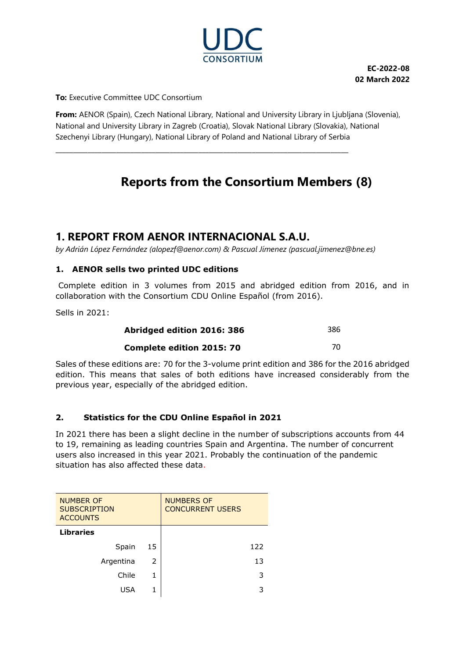

**EC-2022-08 02 March 2022**

**To:** Executive Committee UDC Consortium

**From:** AENOR (Spain), Czech National Library, National and University Library in Ljubljana (Slovenia), National and University Library in Zagreb (Croatia), Slovak National Library (Slovakia), National Szechenyi Library (Hungary), National Library of Poland and National Library of Serbia

**\_\_\_\_\_\_\_\_\_\_\_\_\_\_\_\_\_\_\_\_\_\_\_\_\_\_\_\_\_\_\_\_\_\_\_\_\_\_\_\_\_\_\_\_\_\_\_\_\_\_\_\_\_\_\_\_\_\_\_\_\_\_\_\_\_\_\_\_\_\_\_\_\_\_\_\_\_\_\_\_\_\_**

# **Reports from the Consortium Members (8)**

## **1. REPORT FROM AENOR INTERNACIONAL S.A.U.**

*by Adrián López Fernández (alopezf@aenor.com) & Pascual Jímenez (pascual.jimenez@bne.es)*

### **1. AENOR sells two printed UDC editions**

Complete edition in 3 volumes from 2015 and abridged edition from 2016, and in collaboration with the Consortium CDU Online Español (from 2016).

Sells in 2021:

| Abridged edition 2016: 386       | 386 |
|----------------------------------|-----|
| <b>Complete edition 2015: 70</b> |     |

Sales of these editions are: 70 for the 3-volume print edition and 386 for the 2016 abridged edition. This means that sales of both editions have increased considerably from the previous year, especially of the abridged edition.

### **2. Statistics for the CDU Online Español in 2021**

In 2021 there has been a slight decline in the number of subscriptions accounts from 44 to 19, remaining as leading countries Spain and Argentina. The number of concurrent users also increased in this year 2021. Probably the continuation of the pandemic situation has also affected these data.

| <b>NUMBER OF</b><br><b>SUBSCRIPTION</b><br><b>ACCOUNTS</b> |    | <b>NUMBERS OF</b><br><b>CONCURRENT USERS</b> |
|------------------------------------------------------------|----|----------------------------------------------|
| <b>Libraries</b>                                           |    |                                              |
| Spain                                                      | 15 | 122                                          |
| Argentina                                                  | 2  | 13                                           |
| Chile                                                      | 1  | 3                                            |
| USA                                                        | 1  | 3                                            |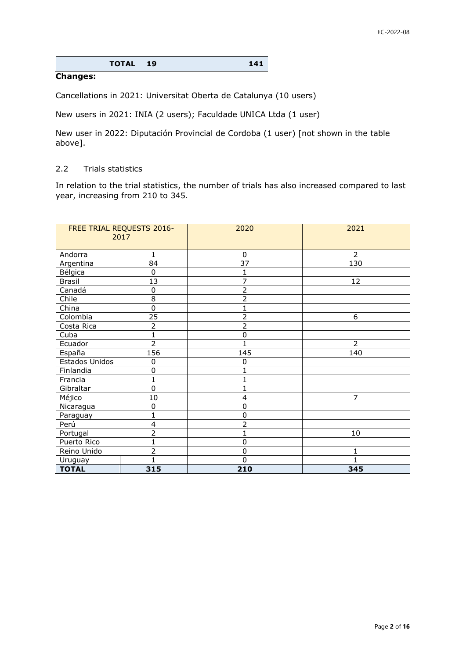| TOTAL 19 | 141 |
|----------|-----|
|----------|-----|

#### **Changes:**

Cancellations in 2021: Universitat Oberta de Catalunya (10 users)

New users in 2021: INIA (2 users); Faculdade UNICA Ltda (1 user)

New user in 2022: Diputación Provincial de Cordoba (1 user) [not shown in the table above].

#### 2.2 Trials statistics

In relation to the trial statistics, the number of trials has also increased compared to last year, increasing from 210 to 345.

|                | FREE TRIAL REQUESTS 2016-<br>2017 | 2020            | 2021           |
|----------------|-----------------------------------|-----------------|----------------|
|                |                                   |                 |                |
| Andorra        | $\mathbf{1}$                      | $\mathbf{0}$    | $\overline{2}$ |
| Argentina      | 84                                | $\overline{37}$ | 130            |
| Bélgica        | $\mathbf 0$                       | 1               |                |
| <b>Brasil</b>  | 13                                | 7               | 12             |
| Canadá         | $\mathbf 0$                       | 2               |                |
| Chile          | 8                                 | 2               |                |
| China          | $\overline{0}$                    |                 |                |
| Colombia       | 25                                | 2               | 6              |
| Costa Rica     | $\overline{2}$                    | 2               |                |
| Cuba           | 1                                 | 0               |                |
| Ecuador        | $\overline{2}$                    | 1               | $\overline{2}$ |
| España         | 156                               | 145             | 140            |
| Estados Unidos | $\mathbf 0$                       | 0               |                |
| Finlandia      | $\mathbf 0$                       |                 |                |
| Francia        | $\mathbf{1}$                      |                 |                |
| Gibraltar      | $\overline{0}$                    |                 |                |
| Méjico         | $10\,$                            | 4               | 7              |
| Nicaragua      | $\mathbf 0$                       | 0               |                |
| Paraguay       | 1                                 | 0               |                |
| Perú           | 4                                 | 2               |                |
| Portugal       | $\overline{2}$                    |                 | 10             |
| Puerto Rico    | 1                                 | 0               |                |
| Reino Unido    | $\overline{2}$                    | 0               | 1              |
| Uruguay        | 1                                 | $\Omega$        |                |
| <b>TOTAL</b>   | 315                               | 210             | 345            |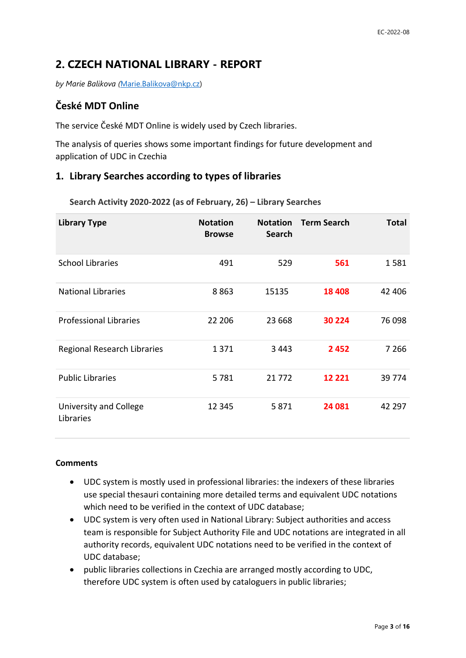## **2. CZECH NATIONAL LIBRARY - REPORT**

*by Marie Balikova (*[Marie.Balikova@nkp.cz\)](mailto:Marie.Balikova@nkp.cz)

## **České MDT Online**

The service České MDT Online is widely used by Czech libraries.

The analysis of queries shows some important findings for future development and application of UDC in Czechia

## **1. Library Searches according to types of libraries**

**Search Activity 2020-2022 (as of February, 26) – Library Searches**

| <b>Library Type</b>                 | <b>Notation</b><br><b>Browse</b> | <b>Notation</b><br><b>Search</b> | <b>Term Search</b> | <b>Total</b> |
|-------------------------------------|----------------------------------|----------------------------------|--------------------|--------------|
| <b>School Libraries</b>             | 491                              | 529                              | 561                | 1581         |
| <b>National Libraries</b>           | 8863                             | 15135                            | 18 4 08            | 42 406       |
| <b>Professional Libraries</b>       | 22 206                           | 23 6 68                          | 30 224             | 76 098       |
| <b>Regional Research Libraries</b>  | 1371                             | 3443                             | 2452               | 7 2 6 6      |
| <b>Public Libraries</b>             | 5781                             | 21 7 7 2                         | 12 2 2 1           | 39 7 74      |
| University and College<br>Libraries | 12 3 45                          | 5871                             | 24 081             | 42 297       |

#### **Comments**

- UDC system is mostly used in professional libraries: the indexers of these libraries use special thesauri containing more detailed terms and equivalent UDC notations which need to be verified in the context of UDC database;
- UDC system is very often used in National Library: Subject authorities and access team is responsible for Subject Authority File and UDC notations are integrated in all authority records, equivalent UDC notations need to be verified in the context of UDC database;
- public libraries collections in Czechia are arranged mostly according to UDC, therefore UDC system is often used by cataloguers in public libraries;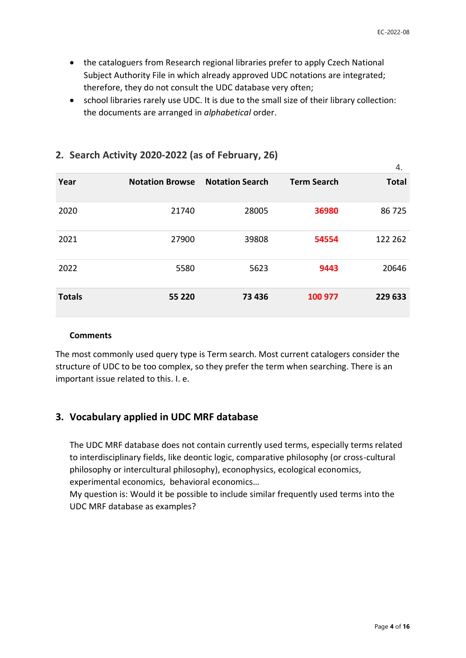- the cataloguers from Research regional libraries prefer to apply Czech National Subject Authority File in which already approved UDC notations are integrated; therefore, they do not consult the UDC database very often;
- school libraries rarely use UDC. It is due to the small size of their library collection: the documents are arranged in *alphabetical* order.

|               |                        |                        |                    | 4.           |
|---------------|------------------------|------------------------|--------------------|--------------|
| Year          | <b>Notation Browse</b> | <b>Notation Search</b> | <b>Term Search</b> | <b>Total</b> |
| 2020          | 21740                  | 28005                  | 36980              | 86725        |
| 2021          | 27900                  | 39808                  | 54554              | 122 262      |
| 2022          | 5580                   | 5623                   | 9443               | 20646        |
| <b>Totals</b> | 55 220                 | 73 436                 | 100 977            | 229 633      |

## **2. Search Activity 2020-2022 (as of February, 26)**

#### **Comments**

The most commonly used query type is Term search. Most current catalogers consider the structure of UDC to be too complex, so they prefer the term when searching. There is an important issue related to this. I. e.

## **3. Vocabulary applied in UDC MRF database**

The UDC MRF database does not contain currently used terms, especially terms related to interdisciplinary fields, like deontic logic, comparative philosophy (or cross-cultural philosophy or intercultural philosophy), econophysics, ecological economics, experimental economics, behavioral economics…

My question is: Would it be possible to include similar frequently used terms into the UDC MRF database as examples?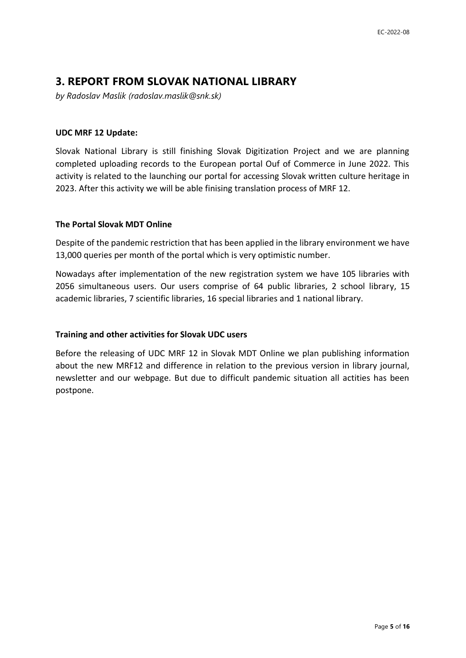## **3. REPORT FROM SLOVAK NATIONAL LIBRARY**

*by Radoslav Maslik (radoslav.maslik@snk.sk)*

#### **UDC MRF 12 Update:**

Slovak National Library is still finishing Slovak Digitization Project and we are planning completed uploading records to the European portal Ouf of Commerce in June 2022. This activity is related to the launching our portal for accessing Slovak written culture heritage in 2023. After this activity we will be able finising translation process of MRF 12.

#### **The Portal Slovak MDT Online**

Despite of the pandemic restriction that has been applied in the library environment we have 13,000 queries per month of the portal which is very optimistic number.

Nowadays after implementation of the new registration system we have 105 libraries with 2056 simultaneous users. Our users comprise of 64 public libraries, 2 school library, 15 academic libraries, 7 scientific libraries, 16 special libraries and 1 national library.

### **Training and other activities for Slovak UDC users**

Before the releasing of UDC MRF 12 in Slovak MDT Online we plan publishing information about the new MRF12 and difference in relation to the previous version in library journal, newsletter and our webpage. But due to difficult pandemic situation all actities has been postpone.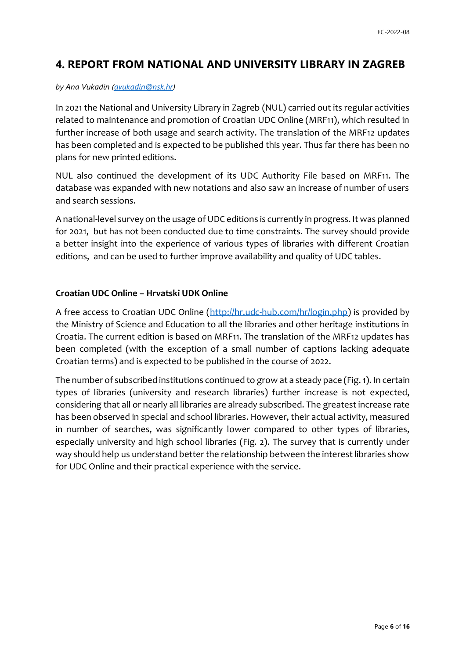## **4. REPORT FROM NATIONAL AND UNIVERSITY LIBRARY IN ZAGREB**

#### *by Ana Vukadin [\(avukadin@nsk.hr\)](mailto:avukadin@nsk.hr)*

In 2021 the National and University Library in Zagreb (NUL) carried out its regular activities related to maintenance and promotion of Croatian UDC Online (MRF11), which resulted in further increase of both usage and search activity. The translation of the MRF12 updates has been completed and is expected to be published this year. Thus far there has been no plans for new printed editions.

NUL also continued the development of its UDC Authority File based on MRF11. The database was expanded with new notations and also saw an increase of number of users and search sessions.

A national-level survey on the usage of UDC editions is currently in progress. It was planned for 2021, but has not been conducted due to time constraints. The survey should provide a better insight into the experience of various types of libraries with different Croatian editions, and can be used to further improve availability and quality of UDC tables.

### **Croatian UDC Online – Hrvatski UDK Online**

A free access to Croatian UDC Online [\(http://hr.udc-hub.com/hr/login.php\)](http://hr.udc-hub.com/hr/login.php) is provided by the Ministry of Science and Education to all the libraries and other heritage institutions in Croatia. The current edition is based on MRF11. The translation of the MRF12 updates has been completed (with the exception of a small number of captions lacking adequate Croatian terms) and is expected to be published in the course of 2022.

The number of subscribed institutions continued to grow at a steady pace (Fig. 1). In certain types of libraries (university and research libraries) further increase is not expected, considering that all or nearly all libraries are already subscribed. The greatest increase rate has been observed in special and school libraries. However, their actual activity, measured in number of searches, was significantly lower compared to other types of libraries, especially university and high school libraries (Fig. 2). The survey that is currently under way should help us understand better the relationship between the interest libraries show for UDC Online and their practical experience with the service.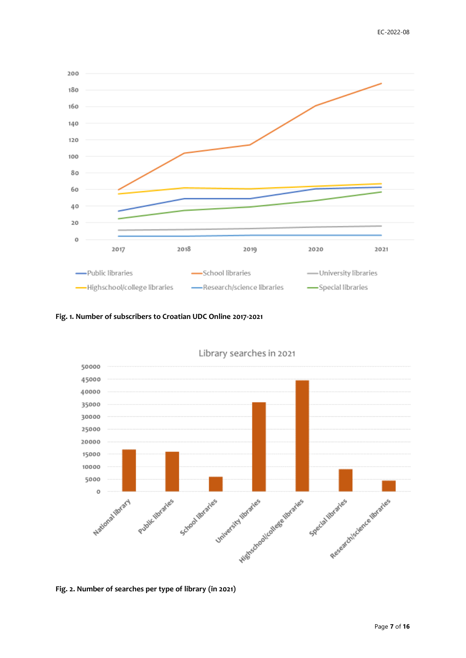

**Fig. 1. Number of subscribers to Croatian UDC Online 2017-2021**



Library searches in 2021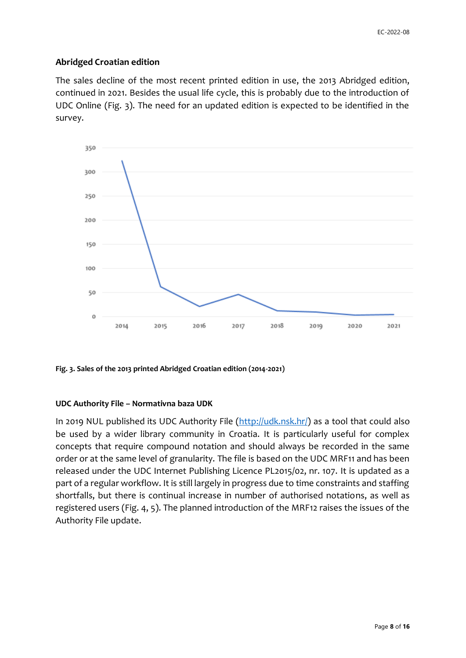### **Abridged Croatian edition**

The sales decline of the most recent printed edition in use, the 2013 Abridged edition, continued in 2021. Besides the usual life cycle, this is probably due to the introduction of UDC Online (Fig. 3). The need for an updated edition is expected to be identified in the survey.



**Fig. 3. Sales of the 2013 printed Abridged Croatian edition (2014-2021)**

### **UDC Authority File – Normativna baza UDK**

In 2019 NUL published its UDC Authority File [\(http://udk.nsk.hr/\)](http://udk.nsk.hr/) as a tool that could also be used by a wider library community in Croatia. It is particularly useful for complex concepts that require compound notation and should always be recorded in the same order or at the same level of granularity. The file is based on the UDC MRF11 and has been released under the UDC Internet Publishing Licence PL2015/02, nr. 107. It is updated as a part of a regular workflow. It is still largely in progress due to time constraints and staffing shortfalls, but there is continual increase in number of authorised notations, as well as registered users (Fig. 4, 5). The planned introduction of the MRF12 raises the issues of the Authority File update.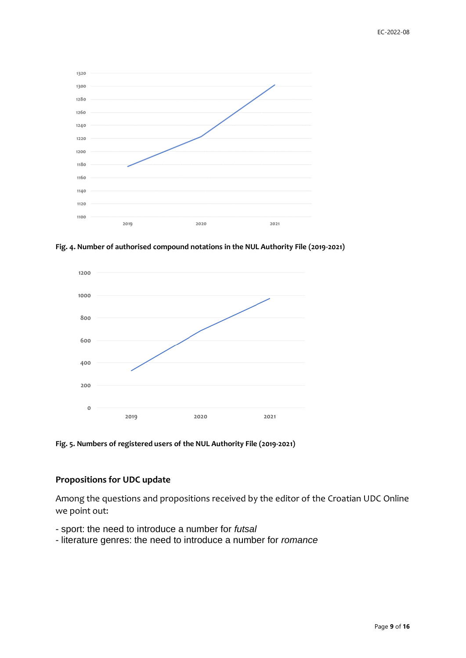

**Fig. 4. Number of authorised compound notations in the NUL Authority File (2019-2021)**



**Fig. 5. Numbers of registered users of the NUL Authority File (2019-2021)**

#### **Propositions for UDC update**

Among the questions and propositions received by the editor of the Croatian UDC Online we point out:

- sport: the need to introduce a number for *futsal*
- literature genres: the need to introduce a number for *romance*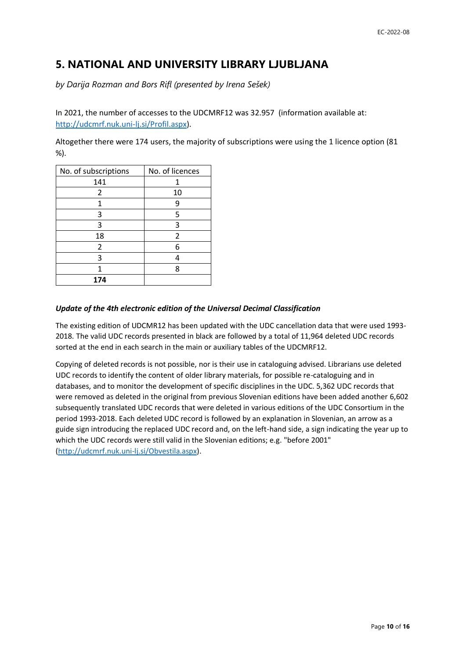## **5. NATIONAL AND UNIVERSITY LIBRARY LJUBLJANA**

*by Darija Rozman and Bors Rifl (presented by Irena Sešek)*

In 2021, the number of accesses to the UDCMRF12 was 32.957 (information available at: [http://udcmrf.nuk.uni-lj.si/Profil.aspx\)](http://udcmrf.nuk.uni-lj.si/Profil.aspx).

Altogether there were 174 users, the majority of subscriptions were using the 1 licence option (81 %).

| No. of subscriptions | No. of licences |
|----------------------|-----------------|
| 141                  |                 |
| 2                    | 10              |
| 1                    | q               |
| 3                    | 5               |
| 3                    | 3               |
| 18                   | 2               |
| 2                    | 6               |
| 3                    |                 |
| 1                    | ጸ               |
| 174                  |                 |

#### *Update of the 4th electronic edition of the Universal Decimal Classification*

The existing edition of UDCMR12 has been updated with the UDC cancellation data that were used 1993- 2018. The valid UDC records presented in black are followed by a total of 11,964 deleted UDC records sorted at the end in each search in the main or auxiliary tables of the UDCMRF12.

Copying of deleted records is not possible, nor is their use in cataloguing advised. Librarians use deleted UDC records to identify the content of older library materials, for possible re-cataloguing and in databases, and to monitor the development of specific disciplines in the UDC. 5,362 UDC records that were removed as deleted in the original from previous Slovenian editions have been added another 6,602 subsequently translated UDC records that were deleted in various editions of the UDC Consortium in the period 1993-2018. Each deleted UDC record is followed by an explanation in Slovenian, an arrow as a guide sign introducing the replaced UDC record and, on the left-hand side, a sign indicating the year up to which the UDC records were still valid in the Slovenian editions; e.g. "before 2001" [\(http://udcmrf.nuk.uni-lj.si/Obvestila.aspx\)](http://udcmrf.nuk.uni-lj.si/Obvestila.aspx).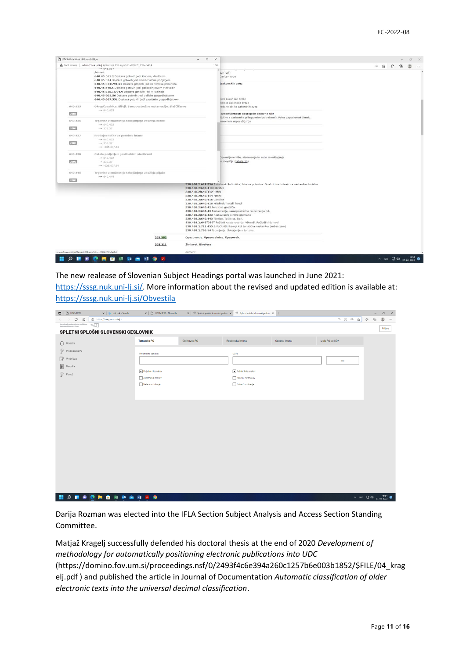|         | A Not secure   udcmrf.nuk.uni-lj.si/RazresiUDK.aspx?db=UDK&UDK=640.4                                                                                                                                                                                                                                                                                                                                                                                   |                                                                          | $\partial \delta$                                                                                                                                  | 品 宿 华 | $\mathbb{G}$ | 逻 |
|---------|--------------------------------------------------------------------------------------------------------------------------------------------------------------------------------------------------------------------------------------------------------------------------------------------------------------------------------------------------------------------------------------------------------------------------------------------------------|--------------------------------------------------------------------------|----------------------------------------------------------------------------------------------------------------------------------------------------|-------|--------------|---|
|         | $+041.357$<br>Primeri:<br>640.45:061.2 Dostava gotovih jedi klubom, društvom<br>640.45:334 Dostava gotovih jedi komercialnim podjetjem<br>640.45:334:791.61 Dostava gotovih jedi na filmska prizorišča<br>640.45:640.5 Dostava gotovih jedi gospodinjstvom v zavodih<br>640.45:725.1:794.9 Dostava gotovih jedi v kazinoje<br>640.45-022.56 Dostava gotovih jedi velikim gospodinjstvom<br>640.45-027.551 Dostava gotovih jedi zasebnim gospodinjstvom |                                                                          | ta (jedi)<br>Daritev vode<br>izakonskih zvez<br>nite zakonske zveze                                                                                |       |              |   |
| 640,435 | Okrepčevalnice. Bifeji. Samopostrežne restavracije. Slaščičarne<br>$-640.433$                                                                                                                                                                                                                                                                                                                                                                          |                                                                          | konite zakonske zveze<br>redane oblike zakonskih zvez                                                                                              |       |              |   |
| 2001    |                                                                                                                                                                                                                                                                                                                                                                                                                                                        |                                                                          | izkoriščenosti obstoječe delovne sile<br>ljučno z osebami s prilagojenimi potrebami). Polna zaposlenost žensk,                                     |       |              |   |
| 640.436 | Trgovine z možnostjo takojšnjega zaužitja hrane<br>$-$ 640.432                                                                                                                                                                                                                                                                                                                                                                                         |                                                                          | onovnem usposabljanju                                                                                                                              |       |              |   |
| 2001    | $-$ 339.37                                                                                                                                                                                                                                                                                                                                                                                                                                             |                                                                          |                                                                                                                                                    |       |              |   |
| 640.437 | Prodajne točke za posebno hrano<br>$+ 640.432$                                                                                                                                                                                                                                                                                                                                                                                                         |                                                                          |                                                                                                                                                    |       |              |   |
| 2001    | $-$ 339.37<br>$-$ -035.63/.64                                                                                                                                                                                                                                                                                                                                                                                                                          |                                                                          |                                                                                                                                                    |       |              |   |
| 640.438 | Ostala podjetja z gostinskimi storitvami                                                                                                                                                                                                                                                                                                                                                                                                               |                                                                          | Opremljene hiše, stanovanja in sobe za oddajanje                                                                                                   |       |              |   |
| 2001    | $-640.432$<br>$-$ 339.37<br>$-$ -035.63/.64                                                                                                                                                                                                                                                                                                                                                                                                            |                                                                          | o dvopičja (tabela 1b)                                                                                                                             |       |              |   |
| 640.445 | Trgovine z možnostjo takojšnjega zaužitja pijače                                                                                                                                                                                                                                                                                                                                                                                                       |                                                                          |                                                                                                                                                    |       |              |   |
| 2001    | $-8640.444$                                                                                                                                                                                                                                                                                                                                                                                                                                            |                                                                          |                                                                                                                                                    |       |              |   |
|         |                                                                                                                                                                                                                                                                                                                                                                                                                                                        | 338.488.2:640.4 Hotelirstvo<br>338.488.2:640.412 Hoteli                  | 338.488.2:629.334 Avtodomi. Počitniške, bivalne prikolice. Bivalniki na kolesih za nastanitev turistov                                             |       |              |   |
|         |                                                                                                                                                                                                                                                                                                                                                                                                                                                        | 338.488.2:640.414 Moteli                                                 |                                                                                                                                                    |       |              |   |
|         |                                                                                                                                                                                                                                                                                                                                                                                                                                                        | 338.488.2:640.416 Gostilne<br>338.488.2:640.418 Mladinski hoteli, hostli |                                                                                                                                                    |       |              |   |
|         |                                                                                                                                                                                                                                                                                                                                                                                                                                                        | 338.488.2:640.42 Penzioni, gostišča                                      |                                                                                                                                                    |       |              |   |
|         |                                                                                                                                                                                                                                                                                                                                                                                                                                                        |                                                                          | 338.488.2:640.43 Restavracije, samopostrežne restavracije itd.<br>338.488.2:640.433 Restavracije s hitro prehrano                                  |       |              |   |
|         |                                                                                                                                                                                                                                                                                                                                                                                                                                                        | 338.488.2:640.443 Pivnice. Točilnice. Bari.                              |                                                                                                                                                    |       |              |   |
|         |                                                                                                                                                                                                                                                                                                                                                                                                                                                        |                                                                          | 338.488.2:643"385" Počitniška stanovanja. Vikendi. Počitniški domovi<br>338.488.2:711.455.8 Počitniški kampi kot turistična nastanitev (urbanizem) |       |              |   |
|         |                                                                                                                                                                                                                                                                                                                                                                                                                                                        |                                                                          | 338.488.2:796.54 Taborjenje. Šotorjenje v turizmu                                                                                                  |       |              |   |
|         | 355.582                                                                                                                                                                                                                                                                                                                                                                                                                                                | Opazovanje. Opazovalnice. Opazovalci                                     |                                                                                                                                                    |       |              |   |
|         | 502.211                                                                                                                                                                                                                                                                                                                                                                                                                                                | Živi svet, Biosfera                                                      |                                                                                                                                                    |       |              |   |
|         | udcmrf.nuk.uni-Esi/RazresiUDK.aspx?db=UDK&UDK=640.4                                                                                                                                                                                                                                                                                                                                                                                                    | Primeri:                                                                 |                                                                                                                                                    |       |              |   |

The new realease of Slovenian Subject Headings portal was launched in June 2021:

[https://sssg.nuk.uni-lj.si/.](https://sssg.nuk.uni-lj.si/) More information about the revised and updated edition is available at: <https://sssg.nuk.uni-lj.si/Obvestila>

| $\Box$ $\Box$ UDCMRF12<br>X Jo udknuk - Search                                                                    | $\times$   $\Box$ UDCMRF12 - Obvestila |              | $\mathbf{x}$   $\mathcal{D}$ Spletni splošni slovenski geslovn $\ \mathbf{x}\ $   $\mathcal{D}$ Spletni splošni slovenski geslovn $\ \mathbf{x}\ $ + |              |                 | $\theta$ $\times$<br>$\overline{\phantom{0}}$       |
|-------------------------------------------------------------------------------------------------------------------|----------------------------------------|--------------|------------------------------------------------------------------------------------------------------------------------------------------------------|--------------|-----------------|-----------------------------------------------------|
| $C$ $\Omega$<br>https://sssg.nuk.uni-lj.si<br>$\leftarrow$ $\rightarrow$                                          |                                        |              |                                                                                                                                                      |              | 口 其 28 论        | $\mathbb{G}$<br>$\tau^{\prime\pm}$<br>g<br>$\cdots$ |
| Narodna in univerzitetna knjižnica $\neg n_{\overline{L}(\overline{\mathcal{L}})}$ lutionaland University Library |                                        |              |                                                                                                                                                      |              |                 | Prijava                                             |
| SPLETNI SPLOŠNI SLOVENSKI GESLOVNIK                                                                               |                                        |              |                                                                                                                                                      |              |                 |                                                     |
| $\bigcap$ Obvestila                                                                                               | Tematske PO                            | Oblikovne PO | Rodbinska imena                                                                                                                                      | Osebna imena | Izpis PO po UDK |                                                     |
| Predlog nove PD                                                                                                   | Predmetna oznaka:                      |              | UDK:                                                                                                                                                 |              |                 |                                                     |
| Vredništvo                                                                                                        |                                        |              |                                                                                                                                                      |              | Išči            |                                                     |
| 图<br>Navodila                                                                                                     | Poljubni niz znakov                    |              | Poljubni niz znakov                                                                                                                                  |              |                 |                                                     |
| $\mathbb{Q}$ Pomoč                                                                                                | Začetni niz znakov                     |              | Začetni niz znakov                                                                                                                                   |              |                 |                                                     |
|                                                                                                                   | Natančno iskanje                       |              | Natančno iskanje                                                                                                                                     |              |                 |                                                     |
|                                                                                                                   |                                        |              |                                                                                                                                                      |              |                 |                                                     |
|                                                                                                                   |                                        |              |                                                                                                                                                      |              |                 |                                                     |
|                                                                                                                   |                                        |              |                                                                                                                                                      |              |                 |                                                     |
|                                                                                                                   |                                        |              |                                                                                                                                                      |              |                 |                                                     |
|                                                                                                                   |                                        |              |                                                                                                                                                      |              |                 |                                                     |
|                                                                                                                   |                                        |              |                                                                                                                                                      |              |                 |                                                     |
|                                                                                                                   |                                        |              |                                                                                                                                                      |              |                 |                                                     |
|                                                                                                                   |                                        |              |                                                                                                                                                      |              |                 |                                                     |
|                                                                                                                   |                                        |              |                                                                                                                                                      |              |                 |                                                     |
|                                                                                                                   |                                        |              |                                                                                                                                                      |              |                 |                                                     |
|                                                                                                                   |                                        |              |                                                                                                                                                      |              |                 |                                                     |
|                                                                                                                   |                                        |              |                                                                                                                                                      |              |                 |                                                     |
|                                                                                                                   |                                        |              |                                                                                                                                                      |              |                 |                                                     |
|                                                                                                                   |                                        |              |                                                                                                                                                      |              |                 |                                                     |
| <b>NO NO DE SERVO E DO NO.</b>                                                                                    |                                        |              |                                                                                                                                                      |              |                 | $\wedge$ siv $\Box^0$ 40 $_{27.02.2022}$ 0          |

Darija Rozman was elected into the IFLA Section Subject Analysis and Access Section Standing Committee.

Matjaž Kragelj successfully defended his doctoral thesis at the end of 2020 *Development of methodology for automatically positioning electronic publications into UDC* (https://domino.fov.um.si/proceedings.nsf/0/2493f4c6e394a260c1257b6e003b1852/\$FILE/04\_krag elj.pdf ) and published the article in Journal of Documentation *Automatic classification of older electronic texts into the universal decimal classification*.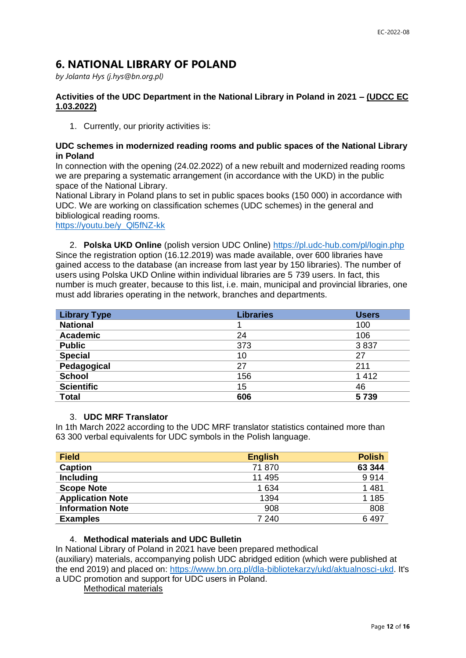## **6. NATIONAL LIBRARY OF POLAND**

*by Jolanta Hys (j.hys@bn.org.pl)*

#### **Activities of the UDC Department in the National Library in Poland in 2021 – (UDCC EC 1.03.2022)**

1. Currently, our priority activities is:

#### **UDC schemes in modernized reading rooms and public spaces of the National Library in Poland**

In connection with the opening (24.02.2022) of a new rebuilt and modernized reading rooms we are preparing a systematic arrangement (in accordance with the UKD) in the public space of the National Library.

National Library in Poland plans to set in public spaces books (150 000) in accordance with UDC. We are working on classification schemes (UDC schemes) in the general and bibliological reading rooms.

[https://youtu.be/y\\_Ql5fNZ-kk](https://youtu.be/y_Ql5fNZ-kk)

2. **Polska UKD Online** (polish version UDC Online)<https://pl.udc-hub.com/pl/login.php> Since the registration option (16.12.2019) was made available, over 600 libraries have gained access to the database (an increase from last year by 150 libraries). The number of users using Polska UKD Online within individual libraries are 5 739 users. In fact, this number is much greater, because to this list, i.e. main, municipal and provincial libraries, one must add libraries operating in the network, branches and departments.

| <b>Library Type</b> | <b>Libraries</b> | <b>Users</b> |
|---------------------|------------------|--------------|
| <b>National</b>     |                  | 100          |
| <b>Academic</b>     | 24               | 106          |
| <b>Public</b>       | 373              | 3837         |
| <b>Special</b>      | 10               | 27           |
| Pedagogical         | 27               | 211          |
| <b>School</b>       | 156              | 1412         |
| <b>Scientific</b>   | 15               | 46           |
| <b>Total</b>        | 606              | 5739         |

#### 3. **UDC MRF Translator**

In 1th March 2022 according to the UDC MRF translator statistics contained more than 63 300 verbal equivalents for UDC symbols in the Polish language.

| <b>Field</b>            | <b>English</b> | <b>Polish</b> |
|-------------------------|----------------|---------------|
| <b>Caption</b>          | 71870          | 63 344        |
| <b>Including</b>        | 11 495         | 9914          |
| <b>Scope Note</b>       | 1 6 3 4        | 1 4 8 1       |
| <b>Application Note</b> | 1394           | 1 1 8 5       |
| <b>Information Note</b> | 908            | 808           |
| <b>Examples</b>         | 7 240          | 6497          |

#### 4. **Methodical materials and UDC Bulletin**

In National Library of Poland in 2021 have been prepared methodical (auxiliary) materials, accompanying polish UDC abridged edition (which were published at the end 2019) and placed on: [https://www.bn.org.pl/dla-bibliotekarzy/ukd/aktualnosci-ukd.](https://www.bn.org.pl/dla-bibliotekarzy/ukd/aktualnosci-ukd) It's a UDC promotion and support for UDC users in Poland.

Methodical materials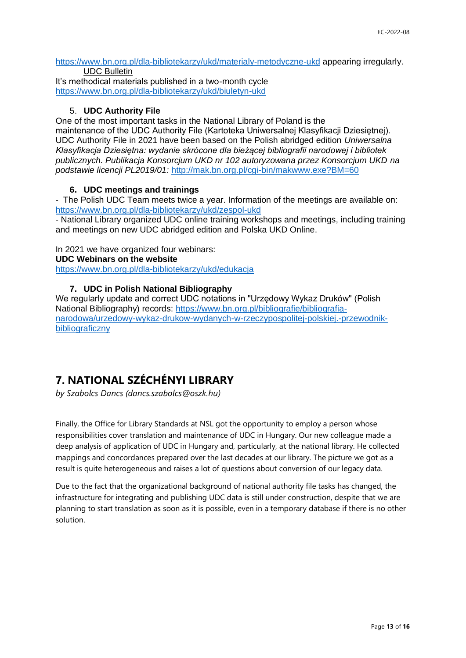<https://www.bn.org.pl/dla-bibliotekarzy/ukd/materialy-metodyczne-ukd> appearing irregularly. UDC Bulletin

It's methodical materials published in a two-month cycle <https://www.bn.org.pl/dla-bibliotekarzy/ukd/biuletyn-ukd>

#### 5. **UDC Authority File**

One of the most important tasks in the National Library of Poland is the maintenance of the UDC Authority File (Kartoteka Uniwersalnej Klasyfikacji Dziesiętnej). UDC Authority File in 2021 have been based on the Polish abridged edition *Uniwersalna Klasyfikacja Dziesiętna: wydanie skrócone dla bieżącej bibliografii narodowej i bibliotek publicznych. Publikacja Konsorcjum UKD nr 102 autoryzowana przez Konsorcjum UKD na podstawie licencji PL2019/01:* <http://mak.bn.org.pl/cgi-bin/makwww.exe?BM=60>

### **6. UDC meetings and trainings**

- The Polish UDC Team meets twice a year. Information of the meetings are available on: <https://www.bn.org.pl/dla-bibliotekarzy/ukd/zespol-ukd>

- National Library organized UDC online training workshops and meetings, including training and meetings on new UDC abridged edition and Polska UKD Online.

In 2021 we have organized four webinars: **UDC Webinars on the website** 

<https://www.bn.org.pl/dla-bibliotekarzy/ukd/edukacja>

### **7. UDC in Polish National Bibliography**

We regularly update and correct UDC notations in "Urzędowy Wykaz Druków" (Polish National Bibliography) records: [https://www.bn.org.pl/bibliografie/bibliografia](https://www.bn.org.pl/bibliografie/bibliografia-narodowa/urzedowy-wykaz-drukow-wydanych-w-rzeczypospolitej-polskiej.-przewodnik-bibliograficzny)[narodowa/urzedowy-wykaz-drukow-wydanych-w-rzeczypospolitej-polskiej.-przewodnik](https://www.bn.org.pl/bibliografie/bibliografia-narodowa/urzedowy-wykaz-drukow-wydanych-w-rzeczypospolitej-polskiej.-przewodnik-bibliograficzny)**[bibliograficzny](https://www.bn.org.pl/bibliografie/bibliografia-narodowa/urzedowy-wykaz-drukow-wydanych-w-rzeczypospolitej-polskiej.-przewodnik-bibliograficzny)** 

# **7. NATIONAL SZÉCHÉNYI LIBRARY**

*by Szabolcs Dancs (dancs.szabolcs@oszk.hu)* 

Finally, the Office for Library Standards at NSL got the opportunity to employ a person whose responsibilities cover translation and maintenance of UDC in Hungary. Our new colleague made a deep analysis of application of UDC in Hungary and, particularly, at the national library. He collected mappings and concordances prepared over the last decades at our library. The picture we got as a result is quite heterogeneous and raises a lot of questions about conversion of our legacy data.

Due to the fact that the organizational background of national authority file tasks has changed, the infrastructure for integrating and publishing UDC data is still under construction, despite that we are planning to start translation as soon as it is possible, even in a temporary database if there is no other solution.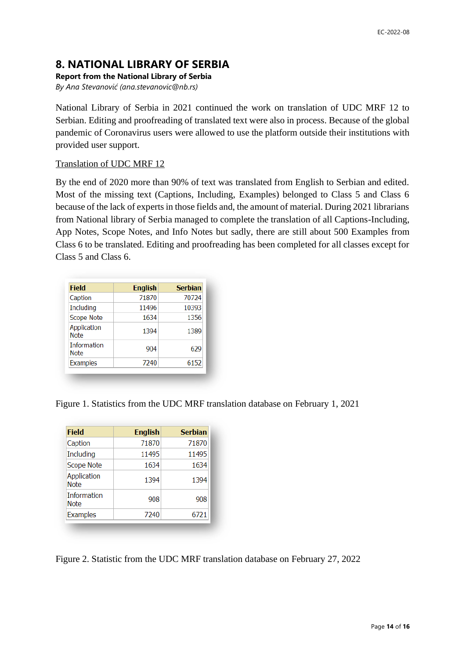## **8. NATIONAL LIBRARY OF SERBIA**

#### **Report from the National Library of Serbia**

*By Ana Stevanović (ana.stevanovic@nb.rs)*

National Library of Serbia in 2021 continued the work on translation of UDC MRF 12 to Serbian. Editing and proofreading of translated text were also in process. Because of the global pandemic of Coronavirus users were allowed to use the platform outside their institutions with provided user support.

#### Translation of UDC MRF 12

By the end of 2020 more than 90% of text was translated from English to Serbian and edited. Most of the missing text (Captions, Including, Examples) belonged to Class 5 and Class 6 because of the lack of experts in those fields and, the amount of material. During 2021 librarians from National library of Serbia managed to complete the translation of all Captions-Including, App Notes, Scope Notes, and Info Notes but sadly, there are still about 500 Examples from Class 6 to be translated. Editing and proofreading has been completed for all classes except for Class 5 and Class 6.

| <b>Field</b>                      | <b>English</b> | <b>Serbian</b> |
|-----------------------------------|----------------|----------------|
| Caption                           | 71870          | 70724          |
| Including                         | 11496          | 10393          |
| Scope Note                        | 1634           | 1356           |
| Application<br>Note               | 1394           | 1389           |
| <b>Information</b><br><b>Note</b> | 904            | 629            |
| Examples                          | 7240           | 6152           |

Figure 1. Statistics from the UDC MRF translation database on February 1, 2021

| <b>Field</b>               | <b>English</b> | <b>Serbian</b> |
|----------------------------|----------------|----------------|
| Caption                    | 71870          | 71870          |
| Including                  | 11495          | 11495          |
| Scope Note                 | 1634           | 1634           |
| Application<br><b>Note</b> | 1394           | 1394           |
| Information<br>Note        | 908            | 908            |
| <b>Examples</b>            | 7240           | 6721           |

Figure 2. Statistic from the UDC MRF translation database on February 27, 2022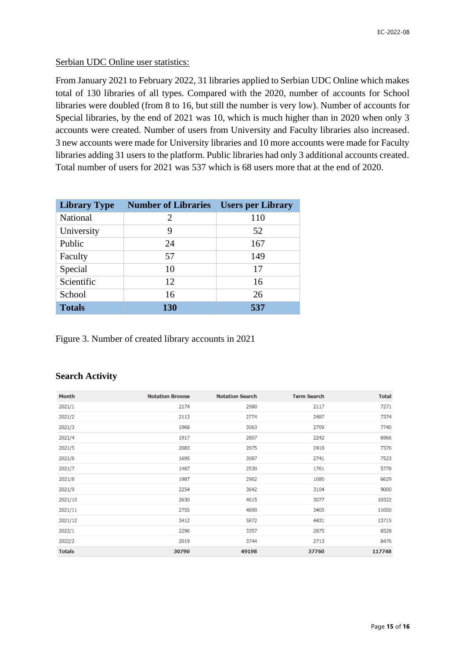#### Serbian UDC Online user statistics:

From January 2021 to February 2022, 31 libraries applied to Serbian UDC Online which makes total of 130 libraries of all types. Compared with the 2020, number of accounts for School libraries were doubled (from 8 to 16, but still the number is very low). Number of accounts for Special libraries, by the end of 2021 was 10, which is much higher than in 2020 when only 3 accounts were created. Number of users from University and Faculty libraries also increased. 3 new accounts were made for University libraries and 10 more accounts were made for Faculty libraries adding 31 users to the platform. Public libraries had only 3 additional accounts created. Total number of users for 2021 was 537 which is 68 users more that at the end of 2020.

| <b>Library Type</b> | <b>Number of Libraries</b> | <b>Users per Library</b> |
|---------------------|----------------------------|--------------------------|
| <b>National</b>     | 2                          | 110                      |
| University          | 9                          | 52                       |
| Public              | 24                         | 167                      |
| Faculty             | 57                         | 149                      |
| Special             | 10                         | 17                       |
| Scientific          | 12                         | 16                       |
| School              | 16                         | 26                       |
| <b>Totals</b>       | 130                        | 537                      |

Figure 3. Number of created library accounts in 2021

#### **Search Activity**

| <b>Month</b>  | <b>Notation Browse</b> | <b>Notation Search</b> | <b>Term Search</b> | <b>Total</b> |
|---------------|------------------------|------------------------|--------------------|--------------|
| 2021/1        | 2174                   | 2980                   | 2117               | 7271         |
| 2021/2        | 2113                   | 2774                   | 2487               | 7374         |
| 2021/3        | 1968                   | 3063                   | 2709               | 7740         |
| 2021/4        | 1917                   | 2807                   | 2242               | 6966         |
| 2021/5        | 2083                   | 2875                   | 2418               | 7376         |
| 2021/6        | 1695                   | 3087                   | 2741               | 7523         |
| 2021/7        | 1487                   | 2530                   | 1761               | 5778         |
| 2021/8        | 1987                   | 2962                   | 1680               | 6629         |
| 2021/9        | 2254                   | 3642                   | 3104               | 9000         |
| 2021/10       | 2630                   | 4615                   | 3077               | 10322        |
| 2021/11       | 2755                   | 4890                   | 3405               | 11050        |
| 2021/12       | 3412                   | 5872                   | 4431               | 13715        |
| 2022/1        | 2296                   | 3357                   | 2875               | 8528         |
| 2022/2        | 2019                   | 3744                   | 2713               | 8476         |
| <b>Totals</b> | 30790                  | 49198                  | 37760              | 117748       |